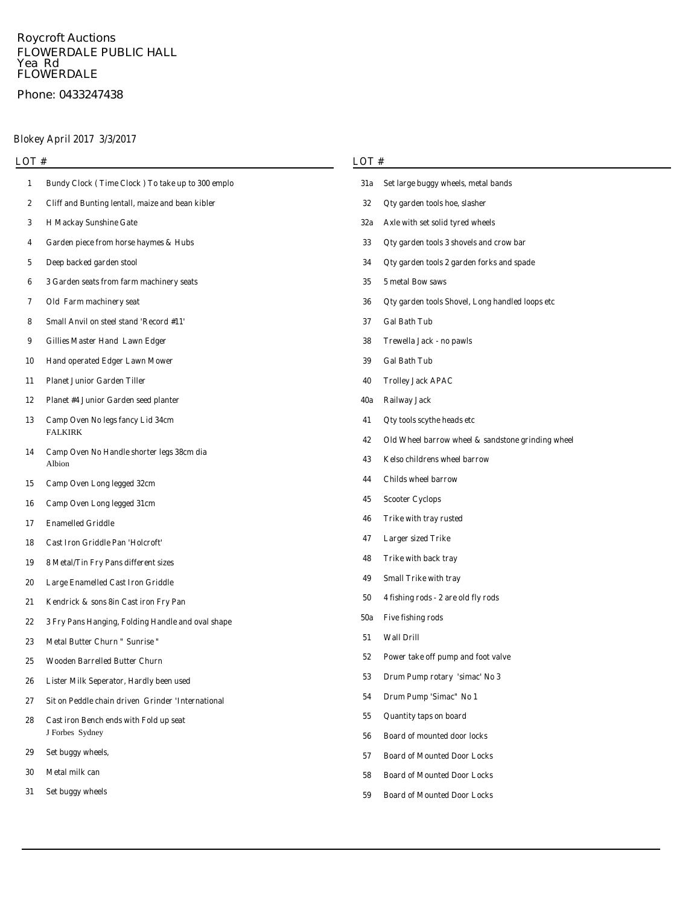## **Roycroft Auctions FLOWERDALE PUBLIC HALL Yea Rd FLOWERDALE**

# **Phone: 0433247438**

# **Blokey April 2017 3/3/2017**

| LOT# |                                                                       |     | LOT#                                              |  |  |  |
|------|-----------------------------------------------------------------------|-----|---------------------------------------------------|--|--|--|
| 1    | Bundy Clock (Time Clock) To take up to 300 emplo                      | 31a | Set large buggy wheels, metal bands               |  |  |  |
| 2    | Cliff and Bunting lentall, maize and bean kibler                      | 32  | Qty garden tools hoe, slasher                     |  |  |  |
| 3    | <b>H Mackay Sunshine Gate</b>                                         | 32a | Axle with set solid tyred wheels                  |  |  |  |
| 4    | Garden piece from horse haymes & Hubs                                 | 33  | Qty garden tools 3 shovels and crow bar           |  |  |  |
| 5    | Deep backed garden stool                                              | 34  | Qty garden tools 2 garden forks and spade         |  |  |  |
| 6    | 3 Garden seats from farm machinery seats                              | 35  | 5 metal Bow saws                                  |  |  |  |
| 7    | Old Farm machinery seat                                               | 36  | Oty garden tools Shovel, Long handled loops etc   |  |  |  |
| 8    | Small Anvil on steel stand 'Record #11'                               | 37  | <b>Gal Bath Tub</b>                               |  |  |  |
| 9    | Gillies Master Hand Lawn Edger                                        | 38  | Trewella Jack - no pawls                          |  |  |  |
| 10   | <b>Hand operated Edger Lawn Mower</b>                                 | 39  | <b>Gal Bath Tub</b>                               |  |  |  |
| 11   | <b>Planet Junior Garden Tiller</b>                                    | 40  | <b>Trolley Jack APAC</b>                          |  |  |  |
| 12   | <b>Planet #4 Junior Garden seed planter</b>                           | 40a | <b>Railway Jack</b>                               |  |  |  |
| 13   | Camp Oven No legs fancy Lid 34cm                                      | 41  | Qty tools scythe heads etc                        |  |  |  |
|      | <b>FALKIRK</b><br>Camp Oven No Handle shorter legs 38cm dia<br>Albion | 42  | Old Wheel barrow wheel & sandstone grinding wheel |  |  |  |
| 14   |                                                                       | 43  | Kelso childrens wheel barrow                      |  |  |  |
| 15   | Camp Oven Long legged 32cm                                            | 44  | <b>Childs wheel barrow</b>                        |  |  |  |
| 16   | Camp Oven Long legged 31cm                                            | 45  | <b>Scooter Cyclops</b>                            |  |  |  |
| 17   | <b>Enamelled Griddle</b>                                              | 46  | Trike with tray rusted                            |  |  |  |
| 18   | Cast Iron Griddle Pan 'Holcroft'                                      | 47  | <b>Larger sized Trike</b>                         |  |  |  |
| 19   | 8 Metal/Tin Fry Pans different sizes                                  | 48  | Trike with back tray                              |  |  |  |
| 20   | <b>Large Enamelled Cast Iron Griddle</b>                              | 49  | <b>Small Trike with tray</b>                      |  |  |  |
| 21   | Kendrick & sons 8in Cast iron Fry Pan                                 | 50  | 4 fishing rods - 2 are old fly rods               |  |  |  |
| 22   | 3 Fry Pans Hanging, Folding Handle and oval shape                     | 50a | <b>Five fishing rods</b>                          |  |  |  |
| 23   | Metal Butter Churn " Sunrise "                                        | 51  | <b>Wall Drill</b>                                 |  |  |  |
| 25   | <b>Wooden Barrelled Butter Churn</b>                                  | 52  | Power take off pump and foot valve                |  |  |  |
| 26   | Lister Milk Seperator, Hardly been used                               | 53  | Drum Pump rotary 'simac' No 3                     |  |  |  |
| 27   | Sit on Peddle chain driven Grinder 'International                     | 54  | Drum Pump 'Simac'' No 1                           |  |  |  |
| 28   | Cast iron Bench ends with Fold up seat<br>J Forbes Sydney             | 55  | <b>Ouantity taps on board</b>                     |  |  |  |
|      |                                                                       | 56  | <b>Board of mounted door locks</b>                |  |  |  |
| 29   | Set buggy wheels,                                                     | 57  | <b>Board of Mounted Door Locks</b>                |  |  |  |
| 30   | Metal milk can                                                        | 58  | <b>Board of Mounted Door Locks</b>                |  |  |  |
| 31   | Set buggy wheels                                                      | 59  | <b>Board of Mounted Door Locks</b>                |  |  |  |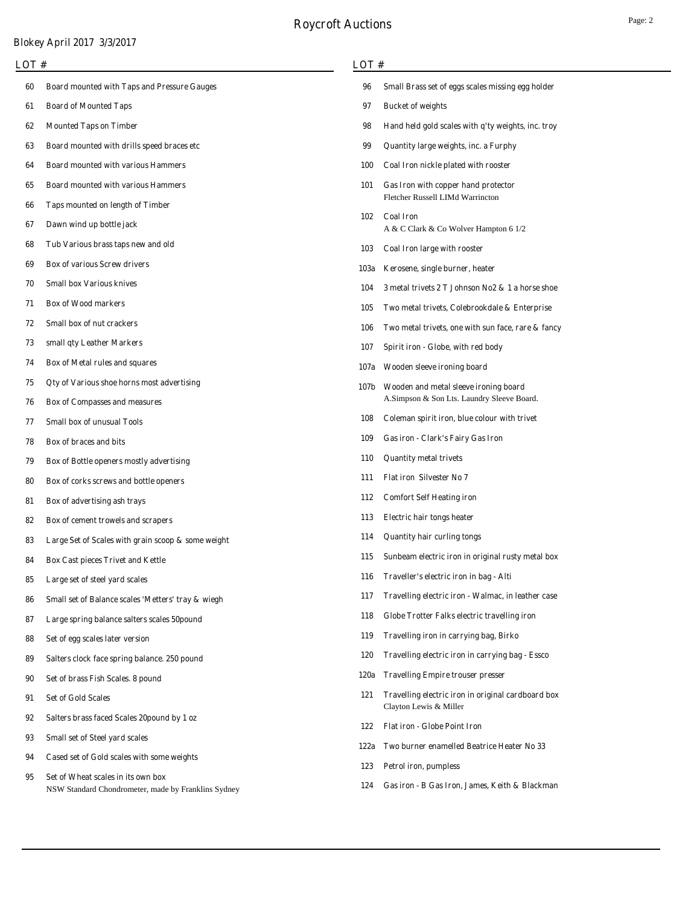# **Roycroft Auctions**

## **Blokey April 2017 3/3/2017**

### **LOT #**

- **Board mounted with Taps and Pressure Gauges**
- **Board of Mounted Taps**
- **Mounted Taps on Timber**
- **Board mounted with drills speed braces etc**
- **Board mounted with various Hammers**
- **Board mounted with various Hammers**
- **Taps mounted on length of Timber**
- **Dawn wind up bottle jack**
- **Tub Various brass taps new and old**
- **Box of various Screw drivers**
- **Small box Various knives**
- **Box of Wood markers**
- **Small box of nut crackers**
- **small qty Leather Markers**
- **Box of Metal rules and squares**
- **Qty of Various shoe horns most advertising**
- **Box of Compasses and measures**
- **Small box of unusual Tools**
- **Box of braces and bits**
- **Box of Bottle openers mostly advertising**
- **Box of corks screws and bottle openers**
- **Box of advertising ash trays**
- **Box of cement trowels and scrapers**
- **Large Set of Scales with grain scoop & some weight**
- **Box Cast pieces Trivet and Kettle**
- **Large set of steel yard scales**
- **Small set of Balance scales 'Metters' tray & wiegh**
- **Large spring balance salters scales 50pound**
- **Set of egg scales later version**
- **Salters clock face spring balance. 250 pound**
- **Set of brass Fish Scales. 8 pound**
- **Set of Gold Scales**
- **Salters brass faced Scales 20pound by 1 oz**
- **Small set of Steel yard scales**
- **Cased set of Gold scales with some weights**
- NSW Standard Chondrometer, made by Franklins Sydney **Set of Wheat scales in its own box**

## **LOT #**

| 96   | Small Brass set of eggs scales missing egg holder                                   |
|------|-------------------------------------------------------------------------------------|
| 97   | <b>Bucket of weights</b>                                                            |
| 98   | Hand held gold scales with q'ty weights, inc. troy                                  |
| 99   | Quantity large weights, inc. a Furphy                                               |
| 100  | Coal Iron nickle plated with rooster                                                |
| 101  | Gas Iron with copper hand protector<br>Fletcher Russell LIMd Warrincton             |
| 102  | <b>Coal Iron</b><br>A & C Clark & Co Wolver Hampton 6 1/2                           |
| 103  | Coal Iron large with rooster                                                        |
| 103a | Kerosene, single burner, heater                                                     |
| 104  | 3 metal trivets 2 T Johnson No2 & 1 a horse shoe                                    |
| 105  | Two metal trivets, Colebrookdale & Enterprise                                       |
| 106  | Two metal trivets, one with sun face, rare & fancy                                  |
| 107  | Spirit iron - Globe, with red body                                                  |
| 107a | Wooden sleeve ironing board                                                         |
| 107b | Wooden and metal sleeve ironing board<br>A.Simpson & Son Lts. Laundry Sleeve Board. |
| 108  | Coleman spirit iron, blue colour with trivet                                        |
| 109  | Gas iron - Clark's Fairy Gas Iron                                                   |
| 110  | <b>Quantity metal trivets</b>                                                       |
| 111  | <b>Flat iron Silvester No 7</b>                                                     |
| 112  | <b>Comfort Self Heating iron</b>                                                    |
| 113  | <b>Electric hair tongs heater</b>                                                   |
| 114  | <b>Quantity hair curling tongs</b>                                                  |
| 115  | Sunbeam electric iron in original rusty metal box                                   |
| 116  | Traveller's electric iron in bag - Alti                                             |
| 117  | Travelling electric iron - Walmac, in leather case                                  |
| 118  | Globe Trotter Falks electric travelling iron                                        |
| 119  | Travelling iron in carrying bag, Birko                                              |
| 120  | Travelling electric iron in carrying bag - Essco                                    |
| 120a | <b>Travelling Empire trouser presser</b>                                            |
| 121  | Travelling electric iron in original cardboard box<br>Clayton Lewis & Miller        |
| 122  | <b>Flat iron - Globe Point Iron</b>                                                 |
| 122a | Two burner enamelled Beatrice Heater No 33                                          |
| 123  | Petrol iron, pumpless                                                               |
|      | 124 Gas iron - B Gas Iron, James, Keith & Blackman                                  |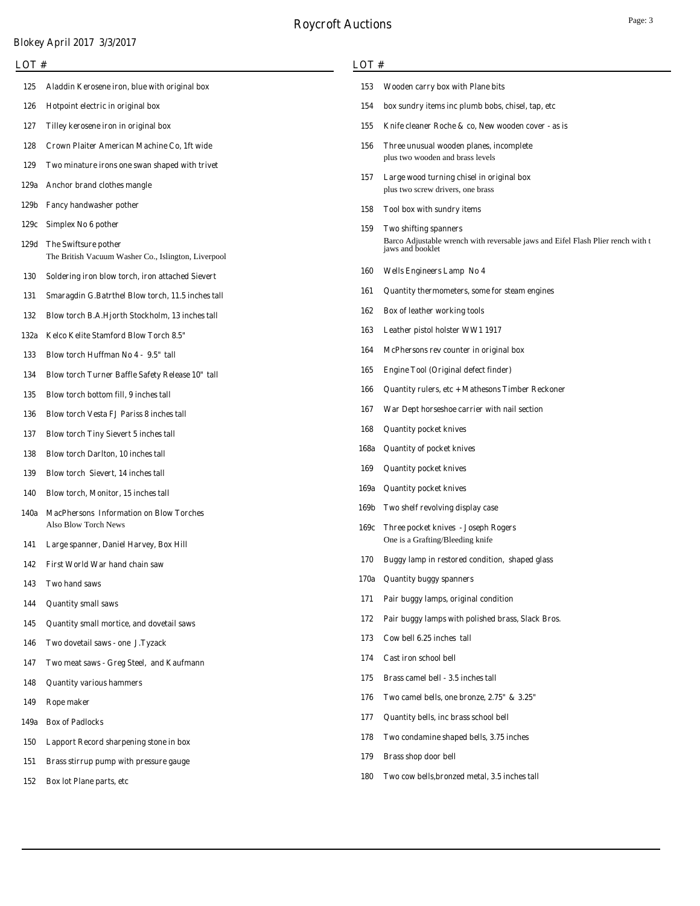| <b>LOT</b> # |                                                                             |             | LOT#                                                                                                |  |  |  |
|--------------|-----------------------------------------------------------------------------|-------------|-----------------------------------------------------------------------------------------------------|--|--|--|
| 125          | Aladdin Kerosene iron, blue with original box                               | 153         | Wooden carry box with Plane bits                                                                    |  |  |  |
| 126          | Hotpoint electric in original box                                           | 154         | box sundry items inc plumb bobs, chisel, tap, etc                                                   |  |  |  |
| 127          | Tilley kerosene iron in original box                                        | 155         | Knife cleaner Roche & co, New wooden cover - as is                                                  |  |  |  |
| 128          | Crown Plaiter American Machine Co, 1ft wide                                 | 156         | Three unusual wooden planes, incomplete                                                             |  |  |  |
| 129          | Two minature irons one swan shaped with trivet                              |             | plus two wooden and brass levels                                                                    |  |  |  |
| 129a         | Anchor brand clothes mangle                                                 | 157         | Large wood turning chisel in original box<br>plus two screw drivers, one brass                      |  |  |  |
| 129b         | Fancy handwasher pother                                                     | 158         | Tool box with sundry items                                                                          |  |  |  |
| 129c         | Simplex No 6 pother                                                         | 159         | Two shifting spanners                                                                               |  |  |  |
| 129d         | The Swiftsure pother<br>The British Vacuum Washer Co., Islington, Liverpool |             | Barco Adjustable wrench with reversable jaws and Eifel Flash Plier rench with t<br>jaws and booklet |  |  |  |
| <b>130</b>   | Soldering iron blow torch, iron attached Sievert                            | 160         | <b>Wells Engineers Lamp No 4</b>                                                                    |  |  |  |
| 131          | Smaragdin G.Batrthel Blow torch, 11.5 inches tall                           | 161         | Quantity thermometers, some for steam engines                                                       |  |  |  |
| 132          | Blow torch B.A.Hjorth Stockholm, 13 inches tall                             | 162         | Box of leather working tools                                                                        |  |  |  |
| 132a         | Kelco Kelite Stamford Blow Torch 8.5"                                       | 163         | Leather pistol holster WW1 1917                                                                     |  |  |  |
| 133          | Blow torch Huffman No 4 - 9.5" tall                                         | 164         | McPhersons rev counter in original box                                                              |  |  |  |
| 134          | Blow torch Turner Baffle Safety Release 10" tall                            | 165         | <b>Engine Tool (Original defect finder)</b>                                                         |  |  |  |
| 135          | Blow torch bottom fill, 9 inches tall                                       | 166         | Quantity rulers, etc + Mathesons Timber Reckoner                                                    |  |  |  |
| 136          | <b>Blow torch Vesta FJ Pariss 8 inches tall</b>                             | 167         | War Dept horseshoe carrier with nail section                                                        |  |  |  |
| 137          | <b>Blow torch Tiny Sievert 5 inches tall</b>                                | 168         | <b>Quantity pocket knives</b>                                                                       |  |  |  |
| 138          | <b>Blow torch Darlton, 10 inches tall</b>                                   | 168a        | <b>Quantity of pocket knives</b>                                                                    |  |  |  |
| 139          | Blow torch Sievert, 14 inches tall                                          | 169         | <b>Quantity pocket knives</b>                                                                       |  |  |  |
| 140          | Blow torch, Monitor, 15 inches tall                                         | 169a        | <b>Quantity pocket knives</b>                                                                       |  |  |  |
| 140a         | <b>MacPhersons Information on Blow Torches</b>                              | 169b        | Two shelf revolving display case                                                                    |  |  |  |
|              | Also Blow Torch News                                                        |             | 169c Three pocket knives - Joseph Rogers<br>One is a Grafting/Bleeding knife                        |  |  |  |
| 141          | Large spanner, Daniel Harvey, Box Hill                                      | 170         | Buggy lamp in restored condition, shaped glass                                                      |  |  |  |
| 142          | First World War hand chain saw                                              |             |                                                                                                     |  |  |  |
| 143          | Two hand saws                                                               | 170a<br>171 | <b>Quantity buggy spanners</b>                                                                      |  |  |  |
| 144          | <b>Quantity small saws</b>                                                  | 172         | Pair buggy lamps, original condition<br>Pair buggy lamps with polished brass, Slack Bros.           |  |  |  |
| 145          | Quantity small mortice, and dovetail saws                                   | 173         |                                                                                                     |  |  |  |
| 146          | Two dovetail saws - one J.Tyzack                                            |             | Cow bell 6.25 inches tall                                                                           |  |  |  |
| 147          | Two meat saws - Greg Steel, and Kaufmann                                    | 174         | Cast iron school bell                                                                               |  |  |  |
| 148          | <b>Quantity various hammers</b>                                             | 175         | Brass camel bell - 3.5 inches tall                                                                  |  |  |  |
| 149          | Rope maker                                                                  | 176         | Two camel bells, one bronze, 2.75" & 3.25"                                                          |  |  |  |
| 149a         | <b>Box of Padlocks</b>                                                      | 177         | Quantity bells, inc brass school bell                                                               |  |  |  |
| <b>150</b>   | Lapport Record sharpening stone in box                                      | 178         | Two condamine shaped bells, 3.75 inches                                                             |  |  |  |
| 151          | Brass stirrup pump with pressure gauge                                      | 179         | Brass shop door bell                                                                                |  |  |  |
| 152          | Box lot Plane parts, etc                                                    | 180         | Two cow bells, bronzed metal, 3.5 inches tall                                                       |  |  |  |
|              |                                                                             |             |                                                                                                     |  |  |  |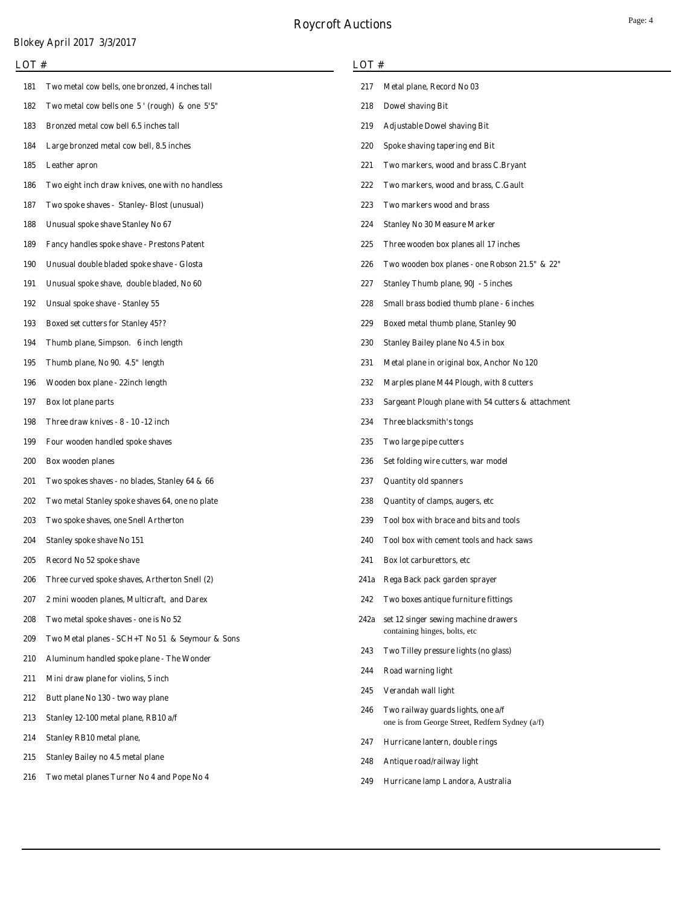| LOT #      |                                                    |      | LOT#                                                                                  |  |  |  |  |
|------------|----------------------------------------------------|------|---------------------------------------------------------------------------------------|--|--|--|--|
| 181        | Two metal cow bells, one bronzed, 4 inches tall    | 217  | Metal plane, Record No 03                                                             |  |  |  |  |
| 182        | Two metal cow bells one $5'$ (rough) & one $5'5''$ | 218  | <b>Dowel shaving Bit</b>                                                              |  |  |  |  |
| 183        | Bronzed metal cow bell 6.5 inches tall             | 219  | <b>Adjustable Dowel shaving Bit</b>                                                   |  |  |  |  |
| 184        | Large bronzed metal cow bell, 8.5 inches           | 220  | Spoke shaving tapering end Bit                                                        |  |  |  |  |
| 185        | Leather apron                                      | 221  | Two markers, wood and brass C.Bryant                                                  |  |  |  |  |
| 186        | Two eight inch draw knives, one with no handless   | 222  | Two markers, wood and brass, C.Gault                                                  |  |  |  |  |
| 187        | Two spoke shaves - Stanley- Blost (unusual)        | 223  | Two markers wood and brass                                                            |  |  |  |  |
| 188        | Unusual spoke shave Stanley No 67                  | 224  | <b>Stanley No 30 Measure Marker</b>                                                   |  |  |  |  |
| 189        | <b>Fancy handles spoke shave - Prestons Patent</b> | 225  | Three wooden box planes all 17 inches                                                 |  |  |  |  |
| 190        | Unusual double bladed spoke shave - Glosta         | 226  | Two wooden box planes - one Robson 21.5" & 22"                                        |  |  |  |  |
| 191        | Unusual spoke shave, double bladed, No 60          | 227  | Stanley Thumb plane, 90J - 5 inches                                                   |  |  |  |  |
| 192        | Unsual spoke shave - Stanley 55                    | 228  | Small brass bodied thumb plane - 6 inches                                             |  |  |  |  |
| 193        | <b>Boxed set cutters for Stanley 45??</b>          | 229  | Boxed metal thumb plane, Stanley 90                                                   |  |  |  |  |
| 194        | Thumb plane, Simpson. 6 inch length                | 230  | Stanley Bailey plane No 4.5 in box                                                    |  |  |  |  |
| 195        | Thumb plane, No 90. 4.5" length                    | 231  | Metal plane in original box, Anchor No 120                                            |  |  |  |  |
| 196        | Wooden box plane - 22inch length                   | 232  | Marples plane M44 Plough, with 8 cutters                                              |  |  |  |  |
| 197        | Box lot plane parts                                | 233  | Sargeant Plough plane with 54 cutters & attachment                                    |  |  |  |  |
| 198        | Three draw knives - 8 - 10 -12 inch                | 234  | Three blacksmith's tongs                                                              |  |  |  |  |
| 199        | Four wooden handled spoke shaves                   | 235  | Two large pipe cutters                                                                |  |  |  |  |
| <b>200</b> | <b>Box wooden planes</b>                           | 236  | Set folding wire cutters, war model                                                   |  |  |  |  |
| <b>201</b> | Two spokes shaves - no blades, Stanley 64 & 66     | 237  | <b>Quantity old spanners</b>                                                          |  |  |  |  |
| 202        | Two metal Stanley spoke shaves 64, one no plate    | 238  | Quantity of clamps, augers, etc                                                       |  |  |  |  |
| 203        | Two spoke shaves, one Snell Artherton              | 239  | Tool box with brace and bits and tools                                                |  |  |  |  |
| 204        | <b>Stanley spoke shave No 151</b>                  | 240  | Tool box with cement tools and hack saws                                              |  |  |  |  |
| 205        | Record No 52 spoke shave                           | 241  | Box lot carburettors, etc.                                                            |  |  |  |  |
| 206        | Three curved spoke shaves, Artherton Snell (2)     | 241a | Rega Back pack garden sprayer                                                         |  |  |  |  |
| 207        | 2 mini wooden planes, Multicraft, and Darex        | 242  | Two boxes antique furniture fittings                                                  |  |  |  |  |
| 208        | Two metal spoke shaves - one is No 52              | 242a | set 12 singer sewing machine drawers                                                  |  |  |  |  |
| 209        | Two Metal planes - SCH+T No 51 & Seymour & Sons    |      | containing hinges, bolts, etc                                                         |  |  |  |  |
| 210        | Aluminum handled spoke plane - The Wonder          | 243  | Two Tilley pressure lights (no glass)                                                 |  |  |  |  |
| 211        | Mini draw plane for violins, 5 inch                | 244  | Road warning light                                                                    |  |  |  |  |
| 212        | Butt plane No 130 - two way plane                  | 245  | Verandah wall light                                                                   |  |  |  |  |
| 213        | Stanley 12-100 metal plane, RB10 a/f               | 246  | Two railway guards lights, one a/f<br>one is from George Street, Redfern Sydney (a/f) |  |  |  |  |
| 214        | <b>Stanley RB10 metal plane,</b>                   | 247  | Hurricane lantern, double rings                                                       |  |  |  |  |
| 215        | <b>Stanley Bailey no 4.5 metal plane</b>           | 248  | Antique road/railway light                                                            |  |  |  |  |
| 216        | Two metal planes Turner No 4 and Pope No 4         | 249  | Hurricane lamp Landora, Australia                                                     |  |  |  |  |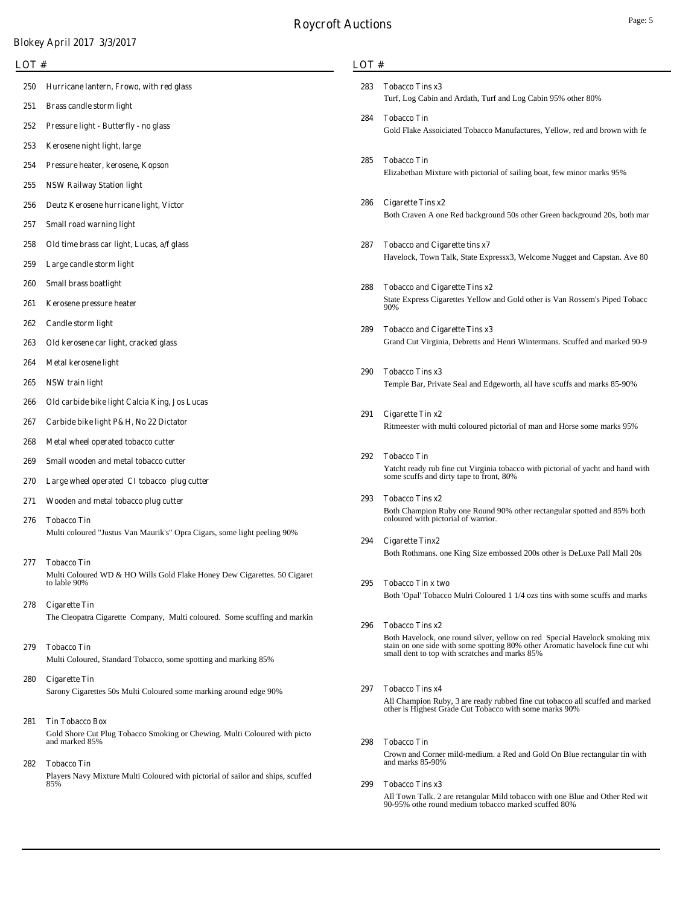**LOT #**

| $\overline{10}$ |                                                                                             | LOT# |                                                                                                                                                                   |  |  |
|-----------------|---------------------------------------------------------------------------------------------|------|-------------------------------------------------------------------------------------------------------------------------------------------------------------------|--|--|
| 250<br>251      | Hurricane lantern, Frowo, with red glass<br>Brass candle storm light                        | 283  | <b>Tobacco Tins x3</b><br>Turf, Log Cabin and Ardath, Turf and Log Cabin 95% other 80%                                                                            |  |  |
| 252             | Pressure light - Butterfly - no glass                                                       | 284  | <b>Tobacco Tin</b><br>Gold Flake Assoiciated Tobacco Manufactures, Yellow, red and brown with fe                                                                  |  |  |
| 253             | Kerosene night light, large                                                                 |      |                                                                                                                                                                   |  |  |
| 254             | Pressure heater, kerosene, Kopson                                                           | 285  | <b>Tobacco Tin</b><br>Elizabethan Mixture with pictorial of sailing boat, few minor marks 95%                                                                     |  |  |
| 255             | <b>NSW Railway Station light</b>                                                            |      |                                                                                                                                                                   |  |  |
| 256             | Deutz Kerosene hurricane light, Victor                                                      | 286  | <b>Cigarette Tins x2</b><br>Both Craven A one Red background 50s other Green background 20s, both mar                                                             |  |  |
| 257             | Small road warning light                                                                    |      |                                                                                                                                                                   |  |  |
| 258             | Old time brass car light, Lucas, a/f glass                                                  | 287  | <b>Tobacco and Cigarette tins x7</b>                                                                                                                              |  |  |
| 259             | Large candle storm light                                                                    |      | Havelock, Town Talk, State Expressx3, Welcome Nugget and Capstan. Ave 80                                                                                          |  |  |
| 260             | <b>Small brass boatlight</b>                                                                | 288  | <b>Tobacco and Cigarette Tins x2</b>                                                                                                                              |  |  |
| 261             | Kerosene pressure heater                                                                    |      | State Express Cigarettes Yellow and Gold other is Van Rossem's Piped Tobacc<br>90%                                                                                |  |  |
| 262             | Candle storm light                                                                          | 289  | <b>Tobacco and Cigarette Tins x3</b>                                                                                                                              |  |  |
| 263             | Old kerosene car light, cracked glass                                                       |      | Grand Cut Virginia, Debretts and Henri Wintermans. Scuffed and marked 90-9                                                                                        |  |  |
| 264             | Metal kerosene light                                                                        |      |                                                                                                                                                                   |  |  |
| 265             | NSW train light                                                                             | 290  | <b>Tobacco Tins x3</b><br>Temple Bar, Private Seal and Edgeworth, all have scuffs and marks 85-90%                                                                |  |  |
| 266             | Old carbide bike light Calcia King, Jos Lucas                                               |      |                                                                                                                                                                   |  |  |
| 267             | Carbide bike light P&H, No 22 Dictator                                                      | 291  | Cigarette Tin x2<br>Ritmeester with multi coloured pictorial of man and Horse some marks 95%                                                                      |  |  |
| 268             | Metal wheel operated tobacco cutter                                                         |      |                                                                                                                                                                   |  |  |
| 269             | Small wooden and metal tobacco cutter                                                       | 292  | <b>Tobacco Tin</b><br>Yatcht ready rub fine cut Virginia tobacco with pictorial of yacht and hand with                                                            |  |  |
| 270             | Large wheel operated CI tobacco plug cutter                                                 |      | some scuffs and dirty tape to front, 80%                                                                                                                          |  |  |
| 271             | Wooden and metal tobacco plug cutter                                                        | 293  | <b>Tobacco Tins x2</b><br>Both Champion Ruby one Round 90% other rectangular spotted and 85% both                                                                 |  |  |
| 276             | <b>Tobacco Tin</b>                                                                          |      | coloured with pictorial of warrior.                                                                                                                               |  |  |
|                 | Multi coloured "Justus Van Maurik's" Opra Cigars, some light peeling 90%                    | 294  | <b>Cigarette Tinx2</b><br>Both Rothmans. one King Size embossed 200s other is DeLuxe Pall Mall 20s                                                                |  |  |
| 277             | <b>Tobacco Tin</b>                                                                          |      |                                                                                                                                                                   |  |  |
|                 | Multi Coloured WD & HO Wills Gold Flake Honey Dew Cigarettes. 50 Cigaret<br>to lable 90%    | 295  | <b>Tobacco Tin x two</b>                                                                                                                                          |  |  |
| 278             | <b>Cigarette Tin</b>                                                                        |      | Both 'Opal' Tobacco Mulri Coloured 1 1/4 ozs tins with some scuffs and marks                                                                                      |  |  |
|                 | The Cleopatra Cigarette Company, Multi coloured. Some scuffing and markin                   | 296  | <b>Tobacco Tins x2</b>                                                                                                                                            |  |  |
| 279             | <b>Tobacco Tin</b>                                                                          |      | Both Havelock, one round silver, yellow on red Special Havelock smoking mix<br>stain on one side with some spotting 80% other Aromatic havelock fine cut whi      |  |  |
|                 | Multi Coloured, Standard Tobacco, some spotting and marking 85%                             |      | small dent to top with scratches and marks 85%                                                                                                                    |  |  |
| 280             | <b>Cigarette Tin</b>                                                                        |      |                                                                                                                                                                   |  |  |
|                 | Sarony Cigarettes 50s Multi Coloured some marking around edge 90%                           | 297  | <b>Tobacco Tins x4</b><br>All Champion Ruby, 3 are ready rubbed fine cut tobacco all scuffed and marked<br>other is Highest Grade Cut Tobacco with some marks 90% |  |  |
| 281             | <b>Tin Tobacco Box</b>                                                                      |      |                                                                                                                                                                   |  |  |
|                 | Gold Shore Cut Plug Tobacco Smoking or Chewing. Multi Coloured with picto<br>and marked 85% | 298  | <b>Tobacco Tin</b>                                                                                                                                                |  |  |
| 282             | <b>Tobacco Tin</b>                                                                          |      | Crown and Corner mild-medium. a Red and Gold On Blue rectangular tin with<br>and marks 85-90%                                                                     |  |  |
|                 | Players Navy Mixture Multi Coloured with pictorial of sailor and ships, scuffed<br>85%      | 299  | <b>Tobacco Tins x3</b>                                                                                                                                            |  |  |

All Town Talk. 2 are retangular Mild tobacco with one Blue and Other Red wit 90-95% othe round medium tobacco marked scuffed 80%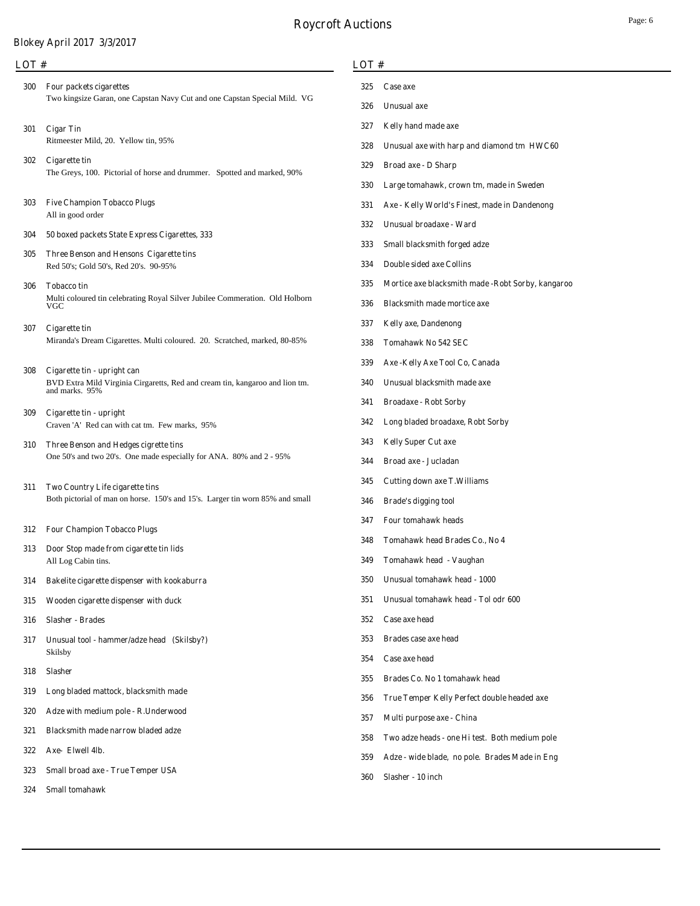### **LOT #**

- Two kingsize Garan, one Capstan Navy Cut and one Capstan Special Mild. VG **Four packets cigarettes** Ritmeester Mild, 20. Yellow tin, 95% **Cigar Tin Cigarette tin**
	- The Greys, 100. Pictorial of horse and drummer. Spotted and marked, 90%
- All in good order **Five Champion Tobacco Plugs**
- **50 boxed packets State Express Cigarettes, 333**
- Red 50's; Gold 50's, Red 20's. 90-95% **Three Benson and Hensons Cigarette tins**
- **Tobacco tin**

Multi coloured tin celebrating Royal Silver Jubilee Commeration. Old Holborn VGC

**Cigarette tin**

Miranda's Dream Cigarettes. Multi coloured. 20. Scratched, marked, 80-85%

**Cigarette tin - upright can**

BVD Extra Mild Virginia Cirgaretts, Red and cream tin, kangaroo and lion tm. and marks. 95%

- Craven 'A' Red can with cat tm. Few marks, 95% **Cigarette tin - upright**
- One 50's and two 20's. One made especially for ANA. 80% and 2 95% **Three Benson and Hedges cigrette tins**
- Both pictorial of man on horse. 150's and 15's. Larger tin worn 85% and small **Two Country Life cigarette tins**
- **Four Champion Tobacco Plugs**
- All Log Cabin tins. **Door Stop made from cigarette tin lids**
- **Bakelite cigarette dispenser with kookaburra**
- **Wooden cigarette dispenser with duck**
- **Slasher Brades**
- Skilsby **Unusual tool - hammer/adze head (Skilsby?)**
- **Slasher**
- **Long bladed mattock, blacksmith made**
- **Adze with medium pole R.Underwood**
- **Blacksmith made narrow bladed adze**
- **Axe- Elwell 4lb.**
- **Small broad axe True Temper USA**
- **Small tomahawk**

## **LOT #**

- **Unusual axe**
- **Kelly hand made axe**
- **Unusual axe with harp and diamond tm HWC60**
- **Broad axe D Sharp**
- **Large tomahawk, crown tm, made in Sweden**
- **Axe Kelly World's Finest, made in Dandenong**
- **Unusual broadaxe Ward**
- **Small blacksmith forged adze**
- **Double sided axe Collins**
- **Mortice axe blacksmith made -Robt Sorby, kangaroo**
- **Blacksmith made mortice axe**
- **Kelly axe, Dandenong**
- **Tomahawk No 542 SEC**
- **Axe -Kelly Axe Tool Co, Canada**
- **Unusual blacksmith made axe**
- **Broadaxe Robt Sorby**
- **Long bladed broadaxe, Robt Sorby**
- **Kelly Super Cut axe**
- **Broad axe Jucladan**
- **Cutting down axe T.Williams**
- **Brade's digging tool**
- **Four tomahawk heads**
- **Tomahawk head Brades Co., No 4**
- **Tomahawk head Vaughan**
- **Unusual tomahawk head 1000**
- **Unusual tomahawk head Tol odr 600**
- **Case axe head**
- **Brades case axe head**
- **Case axe head**
- **Brades Co. No 1 tomahawk head**
- **True Temper Kelly Perfect double headed axe**
- **Multi purpose axe China**
- **Two adze heads one Hi test. Both medium pole**
- **Adze wide blade, no pole. Brades Made in Eng**
- **Slasher 10 inch**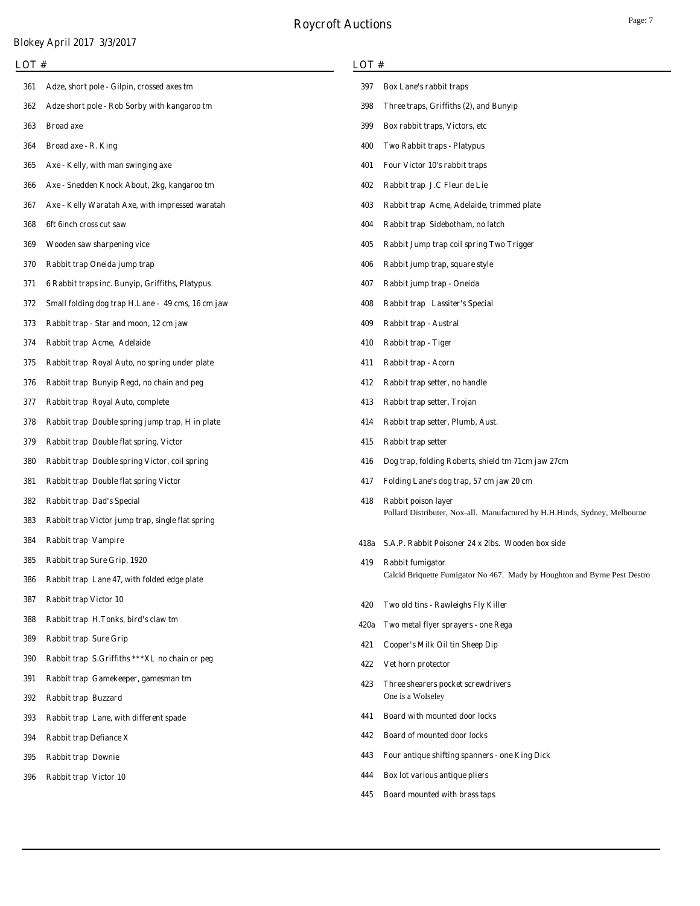| LOT# |                                                   |      | LOT#                                                                       |  |  |  |
|------|---------------------------------------------------|------|----------------------------------------------------------------------------|--|--|--|
| 361  | Adze, short pole - Gilpin, crossed axes tm        | 397  | <b>Box Lane's rabbit traps</b>                                             |  |  |  |
| 362  | Adze short pole - Rob Sorby with kangaroo tm      | 398  | Three traps, Griffiths (2), and Bunyip                                     |  |  |  |
| 363  | <b>Broad axe</b>                                  | 399  | Box rabbit traps, Victors, etc.                                            |  |  |  |
| 364  | Broad axe - R. King                               | 400  | <b>Two Rabbit traps - Platypus</b>                                         |  |  |  |
| 365  | Axe - Kelly, with man swinging axe                | 401  | Four Victor 10's rabbit traps                                              |  |  |  |
| 366  | Axe - Snedden Knock About, 2kg, kangaroo tm       | 402  | Rabbit trap J.C Fleur de Lie                                               |  |  |  |
| 367  | Axe - Kelly Waratah Axe, with impressed waratah   | 403  | Rabbit trap Acme, Adelaide, trimmed plate                                  |  |  |  |
| 368  | 6ft 6inch cross cut saw                           | 404  | Rabbit trap Sidebotham, no latch                                           |  |  |  |
| 369  | Wooden saw sharpening vice                        | 405  | Rabbit Jump trap coil spring Two Trigger                                   |  |  |  |
| 370  | Rabbit trap Oneida jump trap                      | 406  | Rabbit jump trap, square style                                             |  |  |  |
| 371  | 6 Rabbit traps inc. Bunyip, Griffiths, Platypus   | 407  | Rabbit jump trap - Oneida                                                  |  |  |  |
| 372  | Small folding dog trap H.Lane - 49 cms, 16 cm jaw | 408  | Rabbit trap Lassiter's Special                                             |  |  |  |
| 373  | Rabbit trap - Star and moon, 12 cm jaw            | 409  | Rabbit trap - Austral                                                      |  |  |  |
| 374  | Rabbit trap Acme, Adelaide                        | 410  | Rabbit trap - Tiger                                                        |  |  |  |
| 375  | Rabbit trap Royal Auto, no spring under plate     | 411  | Rabbit trap - Acorn                                                        |  |  |  |
| 376  | Rabbit trap Bunyip Regd, no chain and peg         | 412  | Rabbit trap setter, no handle                                              |  |  |  |
| 377  | Rabbit trap Royal Auto, complete                  | 413  | Rabbit trap setter, Trojan                                                 |  |  |  |
| 378  | Rabbit trap Double spring jump trap, H in plate   | 414  | Rabbit trap setter, Plumb, Aust.                                           |  |  |  |
| 379  | Rabbit trap Double flat spring, Victor            | 415  | Rabbit trap setter                                                         |  |  |  |
| 380  | Rabbit trap Double spring Victor, coil spring     | 416  | Dog trap, folding Roberts, shield tm 71cm jaw 27cm                         |  |  |  |
| 381  | Rabbit trap Double flat spring Victor             | 417  | Folding Lane's dog trap, 57 cm jaw 20 cm                                   |  |  |  |
| 382  | <b>Rabbit trap Dad's Special</b>                  | 418  | Rabbit poison layer                                                        |  |  |  |
| 383  | Rabbit trap Victor jump trap, single flat spring  |      | Pollard Distributer, Nox-all. Manufactured by H.H.Hinds, Sydney, Melbourne |  |  |  |
| 384  | Rabbit trap Vampire                               | 418a | S.A.P. Rabbit Poisoner 24 x 2lbs. Wooden box side                          |  |  |  |
| 385  | <b>Rabbit trap Sure Grip, 1920</b>                | 419  | Rabbit fumigator                                                           |  |  |  |
| 386  | Rabbit trap Lane 47, with folded edge plate       |      | Calcid Briquette Fumigator No 467. Mady by Houghton and Byrne Pest Destro  |  |  |  |
| 387  | <b>Rabbit trap Victor 10</b>                      | 420  | Two old tins - Rawleighs Fly Killer                                        |  |  |  |
| 388  | Rabbit trap H.Tonks, bird's claw tm               | 420a | Two metal flyer sprayers - one Rega                                        |  |  |  |
| 389  | <b>Rabbit trap Sure Grip</b>                      | 421  | Cooper's Milk Oil tin Sheep Dip                                            |  |  |  |
| 390  | Rabbit trap S.Griffiths *** XL no chain or peg    | 422  | Vet horn protector                                                         |  |  |  |
| 391  | Rabbit trap Gamekeeper, gamesman tm               | 423  | Three shearers pocket screwdrivers                                         |  |  |  |
| 392  | Rabbit trap Buzzard                               |      | One is a Wolseley                                                          |  |  |  |
| 393  | Rabbit trap Lane, with different spade            | 441  | Board with mounted door locks                                              |  |  |  |
| 394  | <b>Rabbit trap Defiance X</b>                     | 442  | <b>Board of mounted door locks</b>                                         |  |  |  |
| 395  | <b>Rabbit trap Downie</b>                         | 443  | Four antique shifting spanners - one King Dick                             |  |  |  |
| 396  | <b>Rabbit trap Victor 10</b>                      | 444  | Box lot various antique pliers                                             |  |  |  |
|      |                                                   |      |                                                                            |  |  |  |

**Board mounted with brass taps**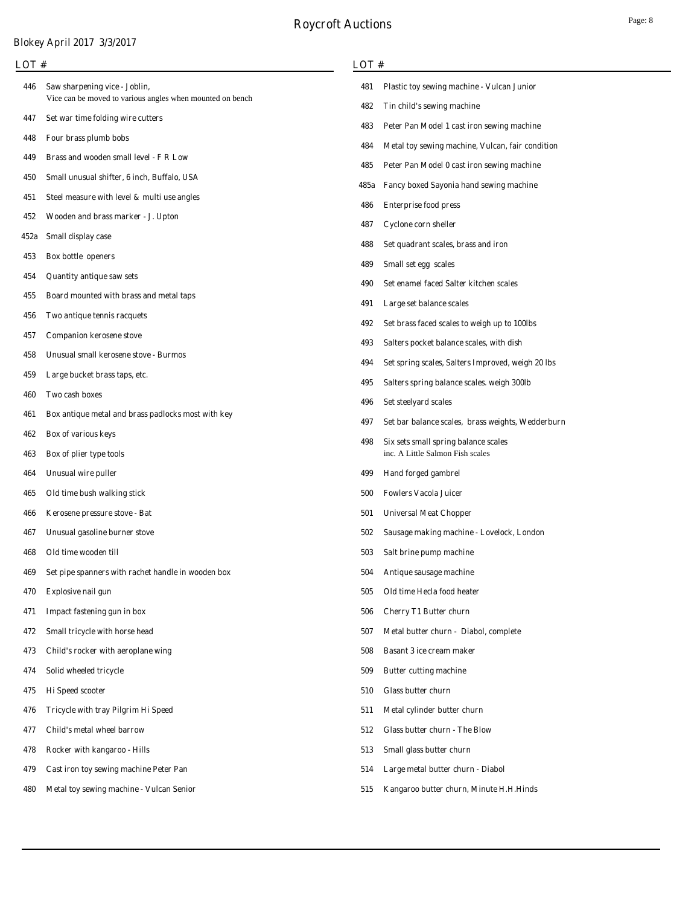# **Roycroft Auctions**

**LOT #**

# **Blokey April 2017 3/3/2017**

# **LOT #**

| 446  | Saw sharpening vice - Joblin,<br>Vice can be moved to various angles when mounted on bench | 481  | <b>Plastic toy sewing machine - Vulcan Junior</b> |
|------|--------------------------------------------------------------------------------------------|------|---------------------------------------------------|
|      | Set war time folding wire cutters                                                          | 482  | Tin child's sewing machine                        |
| 447  |                                                                                            | 483  | Peter Pan Model 1 cast iron sewing machine        |
| 448  | Four brass plumb bobs                                                                      | 484  | Metal toy sewing machine, Vulcan, fair condition  |
| 449  | Brass and wooden small level - F R Low                                                     | 485  | Peter Pan Model 0 cast iron sewing machine        |
| 450  | Small unusual shifter, 6 inch, Buffalo, USA                                                | 485a | <b>Fancy boxed Sayonia hand sewing machine</b>    |
| 451  | Steel measure with level $\&$ multi use angles                                             | 486  | <b>Enterprise food press</b>                      |
| 452  | Wooden and brass marker - J. Upton                                                         | 487  | <b>Cyclone corn sheller</b>                       |
| 452a | Small display case                                                                         | 488  | Set quadrant scales, brass and iron               |
| 453  | Box bottle openers                                                                         | 489  | Small set egg scales                              |
| 454  | <b>Quantity antique saw sets</b>                                                           | 490  | Set enamel faced Salter kitchen scales            |
| 455  | Board mounted with brass and metal taps                                                    | 491  | Large set balance scales                          |
| 456  | Two antique tennis racquets                                                                | 492  | Set brass faced scales to weigh up to 100lbs      |
| 457  | <b>Companion kerosene stove</b>                                                            | 493  | Salters pocket balance scales, with dish          |
| 458  | <b>Unusual small kerosene stove - Burmos</b>                                               | 494  | Set spring scales, Salters Improved, weigh 20 lbs |
| 459  | Large bucket brass taps, etc.                                                              | 495  | Salters spring balance scales. weigh 300lb        |
| 460  | Two cash boxes                                                                             | 496  | Set steelyard scales                              |
| 461  | Box antique metal and brass padlocks most with key                                         | 497  | Set bar balance scales, brass weights, Wedderburn |
| 462  | Box of various keys                                                                        | 498  | Six sets small spring balance scales              |
| 463  | Box of plier type tools                                                                    |      | inc. A Little Salmon Fish scales                  |
| 464  | <b>Unusual wire puller</b>                                                                 | 499  | <b>Hand forged gambrel</b>                        |
| 465  | Old time bush walking stick                                                                | 500  | <b>Fowlers Vacola Juicer</b>                      |
| 466  | Kerosene pressure stove - Bat                                                              | 501  | <b>Universal Meat Chopper</b>                     |
| 467  | Unusual gasoline burner stove                                                              | 502  | Sausage making machine - Lovelock, London         |
| 468  | Old time wooden till                                                                       | 503  | Salt brine pump machine                           |
| 469  | Set pipe spanners with rachet handle in wooden box                                         | 504  | Antique sausage machine                           |
| 470  | <b>Explosive nail gun</b>                                                                  | 505  | Old time Hecla food heater                        |
| 471  | Impact fastening gun in box                                                                | 506  | <b>Cherry T1 Butter churn</b>                     |
| 472  | Small tricycle with horse head                                                             | 507  | Metal butter churn - Diabol, complete             |
| 473  | Child's rocker with aeroplane wing                                                         | 508  | <b>Basant 3 ice cream maker</b>                   |
| 474  | Solid wheeled tricycle                                                                     | 509  | <b>Butter cutting machine</b>                     |
| 475  | <b>Hi</b> Speed scooter                                                                    | 510  | Glass butter churn                                |
| 476  | Tricycle with tray Pilgrim Hi Speed                                                        | 511  | Metal cylinder butter churn                       |
| 477  | Child's metal wheel barrow                                                                 | 512  | <b>Glass butter churn - The Blow</b>              |
| 478  | Rocker with kangaroo - Hills                                                               | 513  | Small glass butter churn                          |
| 479  | <b>Cast iron toy sewing machine Peter Pan</b>                                              | 514  | Large metal butter churn - Diabol                 |
| 480  | Metal toy sewing machine - Vulcan Senior                                                   | 515  | Kangaroo butter churn, Minute H.H.Hinds           |
|      |                                                                                            |      |                                                   |